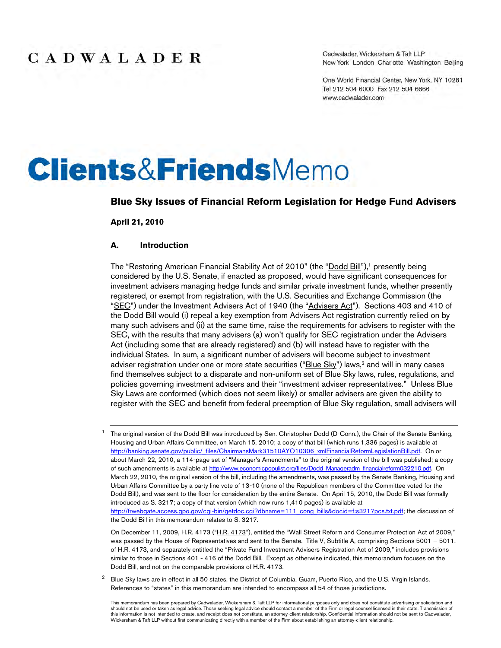Cadwalader, Wickersham & Taft LLP New York London Charlotte Washington Beijing

One World Financial Center, New York, NY 10281 Tel 212 504 6000 Fax 212 504 6666 www.cadwalader.com

# **Clients&FriendsMemo**

#### **Blue Sky Issues of Financial Reform Legislation for Hedge Fund Advisers**

**April 21, 2010**

#### **A. Introduction**

The "Restoring American Financial Stability Act of 2010" (the "Dodd Bill"),<sup>1</sup> presently being considered by the U.S. Senate, if enacted as proposed, would have significant consequences for investment advisers managing hedge funds and similar private investment funds, whether presently registered, or exempt from registration, with the U.S. Securities and Exchange Commission (the "SEC") under the Investment Advisers Act of 1940 (the "Advisers Act"). Sections 403 and 410 of the Dodd Bill would (i) repeal a key exemption from Advisers Act registration currently relied on by many such advisers and (ii) at the same time, raise the requirements for advisers to register with the SEC, with the results that many advisers (a) won't qualify for SEC registration under the Advisers Act (including some that are already registered) and (b) will instead have to register with the individual States. In sum, a significant number of advisers will become subject to investment adviser registration under one or more state securities ("Blue Sky") laws,<sup>2</sup> and will in many cases find themselves subject to a disparate and non-uniform set of Blue Sky laws, rules, regulations, and policies governing investment advisers and their "investment adviser representatives." Unless Blue Sky Laws are conformed (which does not seem likely) or smaller advisers are given the ability to register with the SEC and benefit from federal preemption of Blue Sky regulation, small advisers will

On December 11, 2009, H.R. 4173 ("H.R. 4173"), entitled the "Wall Street Reform and Consumer Protection Act of 2009," was passed by the House of Representatives and sent to the Senate. Title V, Subtitle A, comprising Sections 5001 – 5011, of H.R. 4173, and separately entitled the "Private Fund Investment Advisers Registration Act of 2009," includes provisions similar to those in Sections 401 - 416 of the Dodd Bill. Except as otherwise indicated, this memorandum focuses on the Dodd Bill, and not on the comparable provisions of H.R. 4173.

 $2$  Blue Sky laws are in effect in all 50 states, the District of Columbia, Guam, Puerto Rico, and the U.S. Virgin Islands. References to "states" in this memorandum are intended to encompass all 54 of those jurisdictions.

<sup>&</sup>lt;sup>1</sup> The original version of the Dodd Bill was introduced by Sen. Christopher Dodd (D-Conn.), the Chair of the Senate Banking, Housing and Urban Affairs Committee, on March 15, 2010; a copy of that bill (which runs 1,336 pages) is available at http://banking.senate.gov/public/\_files/ChairmansMark31510AYO10306\_xmlFinancialReformLegislationBill.pdf. On or about March 22, 2010, a 114-page set of "Manager's Amendments" to the original version of the bill was published; a copy of such amendments is available at http://www.economicpopulist.org/files/Dodd\_Manageradm\_financialreform032210.pdf. On March 22, 2010, the original version of the bill, including the amendments, was passed by the Senate Banking, Housing and Urban Affairs Committee by a party line vote of 13-10 (none of the Republican members of the Committee voted for the Dodd Bill), and was sent to the floor for consideration by the entire Senate. On April 15, 2010, the Dodd Bill was formally introduced as S. 3217; a copy of that version (which now runs 1,410 pages) is available at http://frwebgate.access.gpo.gov/cgi-bin/getdoc.cgi?dbname=111\_cong\_bills&docid=f:s3217pcs.txt.pdf; the discussion of the Dodd Bill in this memorandum relates to S. 3217.

This memorandum has been prepared by Cadwalader, Wickersham & Taft LLP for informational purposes only and does not constitute advertising or solicitation and should not be used or taken as legal advice. Those seeking legal advice should contact a member of the Firm or legal counsel licensed in their state. Transmission of this information is not intended to create, and receipt does not constitute, an attorney-client relationship. Confidential information should not be sent to Cadwalader,<br>Wickersham & Taft LLP without first communicating dir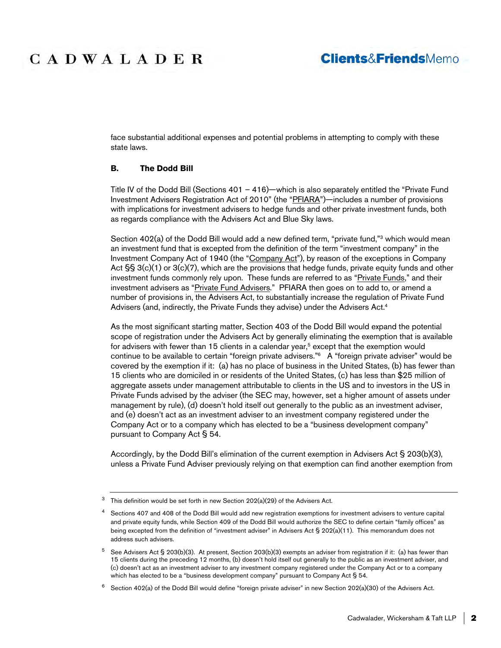### **Clients&FriendsMemo**

face substantial additional expenses and potential problems in attempting to comply with these state laws.

#### **B. The Dodd Bill**

Title IV of the Dodd Bill (Sections 401 – 416)—which is also separately entitled the "Private Fund Investment Advisers Registration Act of 2010" (the "PFIARA")—includes a number of provisions with implications for investment advisers to hedge funds and other private investment funds, both as regards compliance with the Advisers Act and Blue Sky laws.

Section 402(a) of the Dodd Bill would add a new defined term, "private fund,"3 which would mean an investment fund that is excepted from the definition of the term "investment company" in the Investment Company Act of 1940 (the "Company Act"), by reason of the exceptions in Company Act  $\S$ § 3(c)(1) or 3(c)(7), which are the provisions that hedge funds, private equity funds and other investment funds commonly rely upon. These funds are referred to as "Private Funds," and their investment advisers as "Private Fund Advisers." PFIARA then goes on to add to, or amend a number of provisions in, the Advisers Act, to substantially increase the regulation of Private Fund Advisers (and, indirectly, the Private Funds they advise) under the Advisers Act.<sup>4</sup>

As the most significant starting matter, Section 403 of the Dodd Bill would expand the potential scope of registration under the Advisers Act by generally eliminating the exemption that is available for advisers with fewer than 15 clients in a calendar year,<sup>5</sup> except that the exemption would continue to be available to certain "foreign private advisers."<sup>6</sup> A "foreign private adviser" would be covered by the exemption if it: (a) has no place of business in the United States, (b) has fewer than 15 clients who are domiciled in or residents of the United States, (c) has less than \$25 million of aggregate assets under management attributable to clients in the US and to investors in the US in Private Funds advised by the adviser (the SEC may, however, set a higher amount of assets under management by rule), (d) doesn't hold itself out generally to the public as an investment adviser, and (e) doesn't act as an investment adviser to an investment company registered under the Company Act or to a company which has elected to be a "business development company" pursuant to Company Act § 54.

Accordingly, by the Dodd Bill's elimination of the current exemption in Advisers Act § 203(b)(3), unless a Private Fund Adviser previously relying on that exemption can find another exemption from

<sup>&</sup>lt;sup>3</sup> This definition would be set forth in new Section 202(a)(29) of the Advisers Act.

Sections 407 and 408 of the Dodd Bill would add new registration exemptions for investment advisers to venture capital and private equity funds, while Section 409 of the Dodd Bill would authorize the SEC to define certain "family offices" as being excepted from the definition of "investment adviser" in Advisers Act § 202(a)(11). This memorandum does not address such advisers.

 $5$  See Advisers Act § 203(b)(3). At present, Section 203(b)(3) exempts an adviser from registration if it: (a) has fewer than 15 clients during the preceding 12 months, (b) doesn't hold itself out generally to the public as an investment adviser, and (c) doesn't act as an investment adviser to any investment company registered under the Company Act or to a company which has elected to be a "business development company" pursuant to Company Act § 54.

 $6$  Section 402(a) of the Dodd Bill would define "foreign private adviser" in new Section 202(a)(30) of the Advisers Act.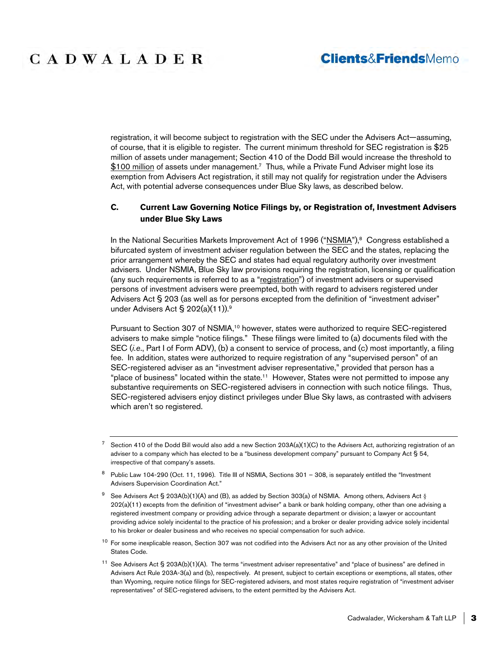registration, it will become subject to registration with the SEC under the Advisers Act—assuming, of course, that it is eligible to register. The current minimum threshold for SEC registration is \$25 million of assets under management; Section 410 of the Dodd Bill would increase the threshold to \$100 million of assets under management.<sup>7</sup> Thus, while a Private Fund Adviser might lose its exemption from Advisers Act registration, it still may not qualify for registration under the Advisers Act, with potential adverse consequences under Blue Sky laws, as described below.

### **C. Current Law Governing Notice Filings by, or Registration of, Investment Advisers under Blue Sky Laws**

In the National Securities Markets Improvement Act of 1996 ("NSMIA"),<sup>8</sup> Congress established a bifurcated system of investment adviser regulation between the SEC and the states, replacing the prior arrangement whereby the SEC and states had equal regulatory authority over investment advisers. Under NSMIA, Blue Sky law provisions requiring the registration, licensing or qualification (any such requirements is referred to as a "registration") of investment advisers or supervised persons of investment advisers were preempted, both with regard to advisers registered under Advisers Act § 203 (as well as for persons excepted from the definition of "investment adviser" under Advisers Act § 202(a)(11)).<sup>9</sup>

Pursuant to Section 307 of NSMIA,<sup>10</sup> however, states were authorized to require SEC-registered advisers to make simple "notice filings." These filings were limited to (a) documents filed with the SEC (*i.e*., Part I of Form ADV), (b) a consent to service of process, and (c) most importantly, a filing fee. In addition, states were authorized to require registration of any "supervised person" of an SEC-registered adviser as an "investment adviser representative," provided that person has a "place of business" located within the state.<sup>11</sup> However, States were not permitted to impose any substantive requirements on SEC-registered advisers in connection with such notice filings. Thus, SEC-registered advisers enjoy distinct privileges under Blue Sky laws, as contrasted with advisers which aren't so registered.

- Public Law 104-290 (Oct. 11, 1996). Title III of NSMIA, Sections 301 308, is separately entitled the "Investment Advisers Supervision Coordination Act."
- See Advisers Act § 203A(b)(1)(A) and (B), as added by Section 303(a) of NSMIA. Among others, Advisers Act § 202(a)(11) excepts from the definition of "investment adviser" a bank or bank holding company, other than one advising a registered investment company or providing advice through a separate department or division; a lawyer or accountant providing advice solely incidental to the practice of his profession; and a broker or dealer providing advice solely incidental to his broker or dealer business and who receives no special compensation for such advice.
- <sup>10</sup> For some inexplicable reason, Section 307 was not codified into the Advisers Act nor as any other provision of the United States Code.
- $11$  See Advisers Act § 203A(b)(1)(A). The terms "investment adviser representative" and "place of business" are defined in Advisers Act Rule 203A-3(a) and (b), respectively. At present, subject to certain exceptions or exemptions, all states, other than Wyoming, require notice filings for SEC-registered advisers, and most states require registration of "investment adviser representatives" of SEC-registered advisers, to the extent permitted by the Advisers Act.

 $7$  Section 410 of the Dodd Bill would also add a new Section 203A(a)(1)(C) to the Advisers Act, authorizing registration of an adviser to a company which has elected to be a "business development company" pursuant to Company Act § 54, irrespective of that company's assets.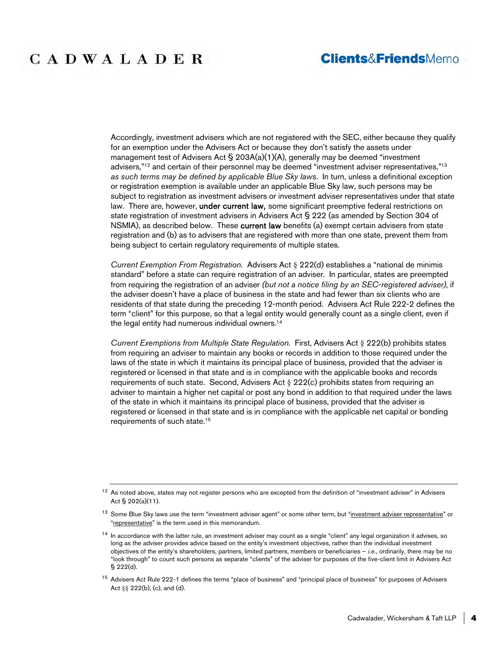### **Clients&FriendsMemo**

Accordingly, investment advisers which are not registered with the SEC, either because they qualify for an exemption under the Advisers Act or because they don't satisfy the assets under management test of Advisers Act § 203A(a)(1)(A), generally may be deemed "investment advisers,"<sup>12</sup> and certain of their personnel may be deemed "investment adviser representatives,"<sup>13</sup> *as such terms may be defined by applicable Blue Sky laws*. In turn, unless a definitional exception or registration exemption is available under an applicable Blue Sky law, such persons may be subject to registration as investment advisers or investment adviser representatives under that state law. There are, however, under current law, some significant preemptive federal restrictions on state registration of investment advisers in Advisers Act § 222 (as amended by Section 304 of NSMIA), as described below. These current law benefits (a) exempt certain advisers from state registration and (b) as to advisers that are registered with more than one state, prevent them from being subject to certain regulatory requirements of multiple states.

*Current Exemption From Registration.* Advisers Act § 222(d) establishes a "national de minimis standard" before a state can require registration of an adviser. In particular, states are preempted from requiring the registration of an adviser *(but not a notice filing by an SEC-registered adviser)*, if the adviser doesn't have a place of business in the state and had fewer than six clients who are residents of that state during the preceding 12-month period. Advisers Act Rule 222-2 defines the term "client" for this purpose, so that a legal entity would generally count as a single client, even if the legal entity had numerous individual owners.<sup>14</sup>

*Current Exemptions from Multiple State Regulation.* First, Advisers Act § 222(b) prohibits states from requiring an adviser to maintain any books or records in addition to those required under the laws of the state in which it maintains its principal place of business, provided that the adviser is registered or licensed in that state and is in compliance with the applicable books and records requirements of such state. Second, Advisers Act § 222(c) prohibits states from requiring an adviser to maintain a higher net capital or post any bond in addition to that required under the laws of the state in which it maintains its principal place of business, provided that the adviser is registered or licensed in that state and is in compliance with the applicable net capital or bonding requirements of such state.<sup>15</sup>

 $12$  As noted above, states may not register persons who are excepted from the definition of "investment adviser" in Advisers Act § 202(a)(11).

<sup>&</sup>lt;sup>13</sup> Some Blue Sky laws use the term "investment adviser agent" or some other term, but "investment adviser representative" or "representative" is the term used in this memorandum.

<sup>&</sup>lt;sup>14</sup> In accordance with the latter rule, an investment adviser may count as a single "client" any legal organization it advises, so long as the adviser provides advice based on the entity's investment objectives, rather than the individual investment objectives of the entity's shareholders, partners, limited partners, members or beneficiaries – *i.e*., ordinarily, there may be no "look through" to count such persons as separate "clients" of the adviser for purposes of the five-client limit in Advisers Act § 222(d).

<sup>&</sup>lt;sup>15</sup> Advisers Act Rule 222-1 defines the terms "place of business" and "principal place of business" for purposes of Advisers Act §§ 222(b), (c), and (d).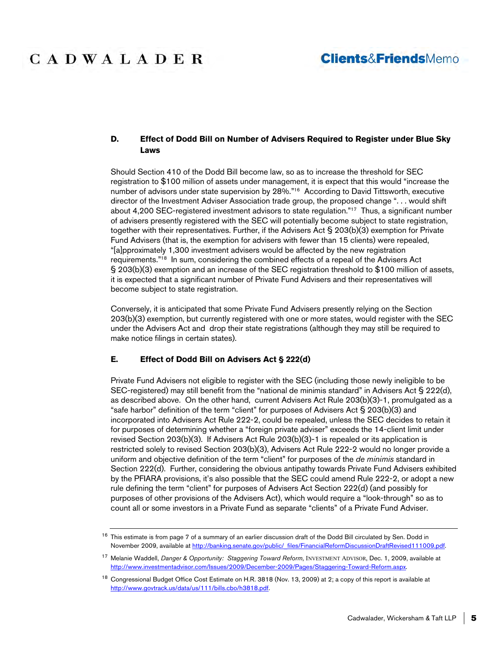### **D. Effect of Dodd Bill on Number of Advisers Required to Register under Blue Sky Laws**

Should Section 410 of the Dodd Bill become law, so as to increase the threshold for SEC registration to \$100 million of assets under management, it is expect that this would "increase the number of advisors under state supervision by 28%."<sup>16</sup> According to David Tittsworth, executive director of the Investment Adviser Association trade group, the proposed change ". . . would shift about 4,200 SEC-registered investment advisors to state regulation."<sup>17</sup> Thus, a significant number of advisers presently registered with the SEC will potentially become subject to state registration, together with their representatives. Further, if the Advisers Act § 203(b)(3) exemption for Private Fund Advisers (that is, the exemption for advisers with fewer than 15 clients) were repealed, "[a]pproximately 1,300 investment advisers would be affected by the new registration requirements."<sup>18</sup> In sum, considering the combined effects of a repeal of the Advisers Act § 203(b)(3) exemption and an increase of the SEC registration threshold to \$100 million of assets, it is expected that a significant number of Private Fund Advisers and their representatives will become subject to state registration.

Conversely, it is anticipated that some Private Fund Advisers presently relying on the Section 203(b)(3) exemption, but currently registered with one or more states, would register with the SEC under the Advisers Act and drop their state registrations (although they may still be required to make notice filings in certain states).

#### **E. Effect of Dodd Bill on Advisers Act § 222(d)**

Private Fund Advisers not eligible to register with the SEC (including those newly ineligible to be SEC-registered) may still benefit from the "national de minimis standard" in Advisers Act § 222(d), as described above. On the other hand, current Advisers Act Rule 203(b)(3)-1, promulgated as a "safe harbor" definition of the term "client" for purposes of Advisers Act § 203(b)(3) and incorporated into Advisers Act Rule 222-2, could be repealed, unless the SEC decides to retain it for purposes of determining whether a "foreign private adviser" exceeds the 14-client limit under revised Section 203(b)(3). If Advisers Act Rule 203(b)(3)-1 is repealed or its application is restricted solely to revised Section 203(b)(3), Advisers Act Rule 222-2 would no longer provide a uniform and objective definition of the term "client" for purposes of the *de minimis* standard in Section 222(d). Further, considering the obvious antipathy towards Private Fund Advisers exhibited by the PFIARA provisions, it's also possible that the SEC could amend Rule 222-2, or adopt a new rule defining the term "client" for purposes of Advisers Act Section 222(d) (and possibly for purposes of other provisions of the Advisers Act), which would require a "look-through" so as to count all or some investors in a Private Fund as separate "clients" of a Private Fund Adviser.

<sup>&</sup>lt;sup>16</sup> This estimate is from page 7 of a summary of an earlier discussion draft of the Dodd Bill circulated by Sen. Dodd in November 2009, available at http://banking.senate.gov/public/\_files/FinancialReformDiscussionDraftRevised111009.pdf.

<sup>17</sup> Melanie Waddell, *Danger & Opportunity: Staggering Toward Reform*, INVESTMENT ADVISOR, Dec. 1, 2009, available at http://www.investmentadvisor.com/Issues/2009/December-2009/Pages/Staggering-Toward-Reform.aspx.

<sup>&</sup>lt;sup>18</sup> Congressional Budget Office Cost Estimate on H.R. 3818 (Nov. 13, 2009) at 2; a copy of this report is available at http://www.govtrack.us/data/us/111/bills.cbo/h3818.pdf.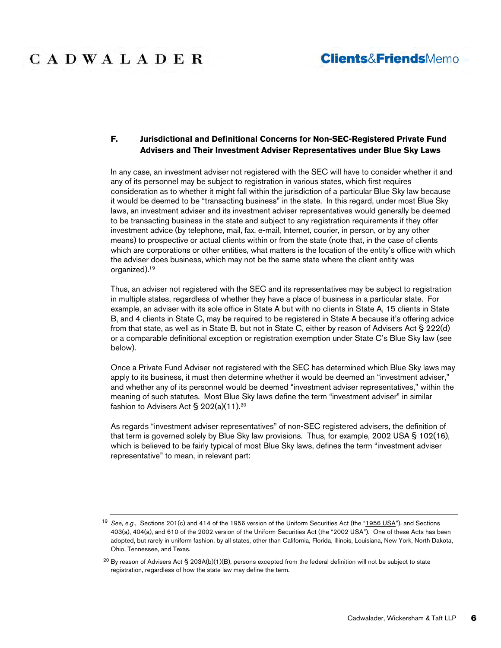### **Clients&FriendsMemo**

### **F. Jurisdictional and Definitional Concerns for Non-SEC-Registered Private Fund Advisers and Their Investment Adviser Representatives under Blue Sky Laws**

In any case, an investment adviser not registered with the SEC will have to consider whether it and any of its personnel may be subject to registration in various states, which first requires consideration as to whether it might fall within the jurisdiction of a particular Blue Sky law because it would be deemed to be "transacting business" in the state. In this regard, under most Blue Sky laws, an investment adviser and its investment adviser representatives would generally be deemed to be transacting business in the state and subject to any registration requirements if they offer investment advice (by telephone, mail, fax, e-mail, Internet, courier, in person, or by any other means) to prospective or actual clients within or from the state (note that, in the case of clients which are corporations or other entities, what matters is the location of the entity's office with which the adviser does business, which may not be the same state where the client entity was organized).<sup>19</sup>

Thus, an adviser not registered with the SEC and its representatives may be subject to registration in multiple states, regardless of whether they have a place of business in a particular state. For example, an adviser with its sole office in State A but with no clients in State A, 15 clients in State B, and 4 clients in State C, may be required to be registered in State A because it's offering advice from that state, as well as in State B, but not in State C, either by reason of Advisers Act § 222(d) or a comparable definitional exception or registration exemption under State C's Blue Sky law (see below).

Once a Private Fund Adviser not registered with the SEC has determined which Blue Sky laws may apply to its business, it must then determine whether it would be deemed an "investment adviser," and whether any of its personnel would be deemed "investment adviser representatives," within the meaning of such statutes. Most Blue Sky laws define the term "investment adviser" in similar fashion to Advisers Act § 202(a)(11).<sup>20</sup>

As regards "investment adviser representatives" of non-SEC registered advisers, the definition of that term is governed solely by Blue Sky law provisions. Thus, for example, 2002 USA § 102(16), which is believed to be fairly typical of most Blue Sky laws, defines the term "investment adviser representative" to mean, in relevant part:

<sup>19</sup> *See, e.g.*, Sections 201(c) and 414 of the 1956 version of the Uniform Securities Act (the "1956 USA"), and Sections 403(a), 404(a), and 610 of the 2002 version of the Uniform Securities Act (the "2002 USA"). One of these Acts has been adopted, but rarely in uniform fashion, by all states, other than California, Florida, Illinois, Louisiana, New York, North Dakota, Ohio, Tennessee, and Texas.

 $^{20}$  By reason of Advisers Act § 203A(b)(1)(B), persons excepted from the federal definition will not be subject to state registration, regardless of how the state law may define the term.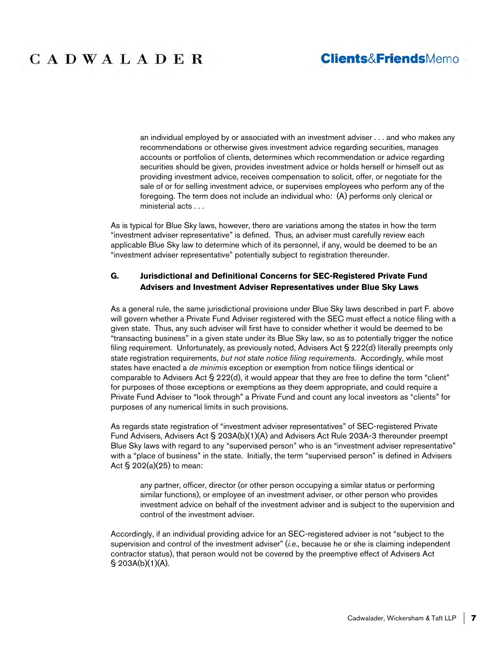### **Clients&FriendsMemo**

# **CADWALADER**

an individual employed by or associated with an investment adviser . . . and who makes any recommendations or otherwise gives investment advice regarding securities, manages accounts or portfolios of clients, determines which recommendation or advice regarding securities should be given, provides investment advice or holds herself or himself out as providing investment advice, receives compensation to solicit, offer, or negotiate for the sale of or for selling investment advice, or supervises employees who perform any of the foregoing. The term does not include an individual who: (A) performs only clerical or ministerial acts . . .

As is typical for Blue Sky laws, however, there are variations among the states in how the term "investment adviser representative" is defined. Thus, an adviser must carefully review each applicable Blue Sky law to determine which of its personnel, if any, would be deemed to be an "investment adviser representative" potentially subject to registration thereunder.

### **G. Jurisdictional and Definitional Concerns for SEC-Registered Private Fund Advisers and Investment Adviser Representatives under Blue Sky Laws**

As a general rule, the same jurisdictional provisions under Blue Sky laws described in part F. above will govern whether a Private Fund Adviser registered with the SEC must effect a notice filing with a given state. Thus, any such adviser will first have to consider whether it would be deemed to be "transacting business" in a given state under its Blue Sky law, so as to potentially trigger the notice filing requirement. Unfortunately, as previously noted, Advisers Act § 222(d) literally preempts only state registration requirements, *but not state notice filing requirements*. Accordingly, while most states have enacted a *de minimis* exception or exemption from notice filings identical or comparable to Advisers Act § 222(d), it would appear that they are free to define the term "client" for purposes of those exceptions or exemptions as they deem appropriate, and could require a Private Fund Adviser to "look through" a Private Fund and count any local investors as "clients" for purposes of any numerical limits in such provisions.

As regards state registration of "investment adviser representatives" of SEC-registered Private Fund Advisers, Advisers Act § 203A(b)(1)(A) and Advisers Act Rule 203A-3 thereunder preempt Blue Sky laws with regard to any "supervised person" who is an "investment adviser representative" with a "place of business" in the state. Initially, the term "supervised person" is defined in Advisers Act § 202(a)(25) to mean:

any partner, officer, director (or other person occupying a similar status or performing similar functions), or employee of an investment adviser, or other person who provides investment advice on behalf of the investment adviser and is subject to the supervision and control of the investment adviser.

Accordingly, if an individual providing advice for an SEC-registered adviser is not "subject to the supervision and control of the investment adviser" (*i.e*., because he or she is claiming independent contractor status), that person would not be covered by the preemptive effect of Advisers Act § 203A(b)(1)(A).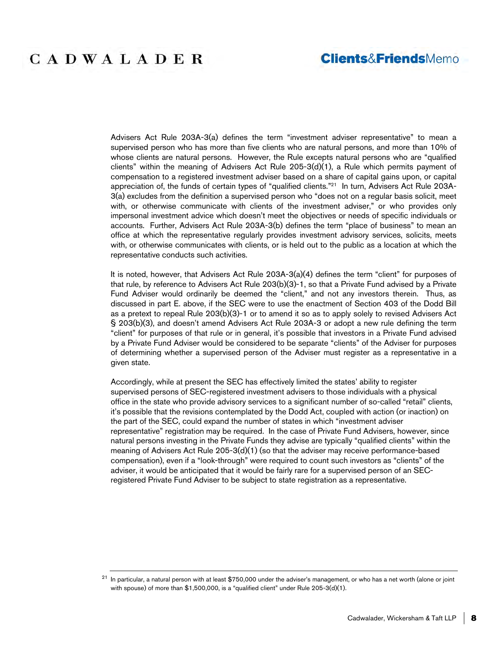Advisers Act Rule 203A-3(a) defines the term "investment adviser representative" to mean a supervised person who has more than five clients who are natural persons, and more than 10% of whose clients are natural persons. However, the Rule excepts natural persons who are "qualified clients" within the meaning of Advisers Act Rule 205-3(d)(1), a Rule which permits payment of compensation to a registered investment adviser based on a share of capital gains upon, or capital appreciation of, the funds of certain types of "qualified clients."<sup>21</sup> In turn, Advisers Act Rule 203A-3(a) excludes from the definition a supervised person who "does not on a regular basis solicit, meet with, or otherwise communicate with clients of the investment adviser," or who provides only impersonal investment advice which doesn't meet the objectives or needs of specific individuals or accounts. Further, Advisers Act Rule 203A-3(b) defines the term "place of business" to mean an office at which the representative regularly provides investment advisory services, solicits, meets with, or otherwise communicates with clients, or is held out to the public as a location at which the representative conducts such activities.

It is noted, however, that Advisers Act Rule 203A-3(a)(4) defines the term "client" for purposes of that rule, by reference to Advisers Act Rule 203(b)(3)-1, so that a Private Fund advised by a Private Fund Adviser would ordinarily be deemed the "client," and not any investors therein. Thus, as discussed in part E. above, if the SEC were to use the enactment of Section 403 of the Dodd Bill as a pretext to repeal Rule 203(b)(3)-1 or to amend it so as to apply solely to revised Advisers Act § 203(b)(3), and doesn't amend Advisers Act Rule 203A-3 or adopt a new rule defining the term "client" for purposes of that rule or in general, it's possible that investors in a Private Fund advised by a Private Fund Adviser would be considered to be separate "clients" of the Adviser for purposes of determining whether a supervised person of the Adviser must register as a representative in a given state.

Accordingly, while at present the SEC has effectively limited the states' ability to register supervised persons of SEC-registered investment advisers to those individuals with a physical office in the state who provide advisory services to a significant number of so-called "retail" clients, it's possible that the revisions contemplated by the Dodd Act, coupled with action (or inaction) on the part of the SEC, could expand the number of states in which "investment adviser representative" registration may be required. In the case of Private Fund Advisers, however, since natural persons investing in the Private Funds they advise are typically "qualified clients" within the meaning of Advisers Act Rule 205-3(d)(1) (so that the adviser may receive performance-based compensation), even if a "look-through" were required to count such investors as "clients" of the adviser, it would be anticipated that it would be fairly rare for a supervised person of an SECregistered Private Fund Adviser to be subject to state registration as a representative.

 $21$  In particular, a natural person with at least \$750,000 under the adviser's management, or who has a net worth (alone or joint with spouse) of more than \$1,500,000, is a "qualified client" under Rule 205-3(d)(1).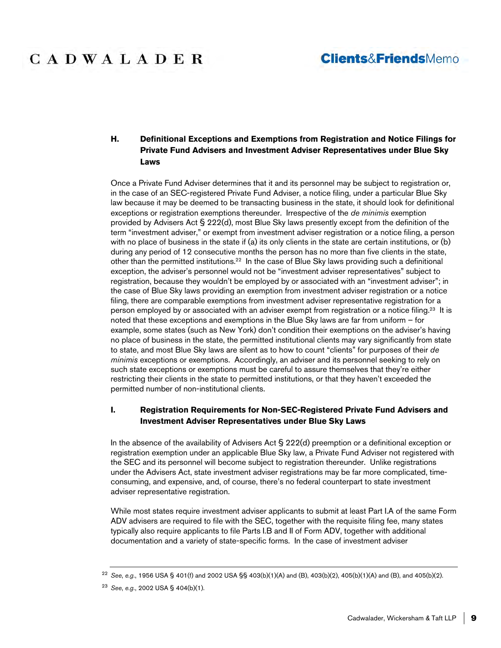### **Clients&FriendsMemo**

### **H. Definitional Exceptions and Exemptions from Registration and Notice Filings for Private Fund Advisers and Investment Adviser Representatives under Blue Sky Laws**

Once a Private Fund Adviser determines that it and its personnel may be subject to registration or, in the case of an SEC-registered Private Fund Adviser, a notice filing, under a particular Blue Sky law because it may be deemed to be transacting business in the state, it should look for definitional exceptions or registration exemptions thereunder. Irrespective of the *de minimis* exemption provided by Advisers Act § 222(d), most Blue Sky laws presently except from the definition of the term "investment adviser," or exempt from investment adviser registration or a notice filing, a person with no place of business in the state if (a) its only clients in the state are certain institutions, or (b) during any period of 12 consecutive months the person has no more than five clients in the state, other than the permitted institutions.<sup>22</sup> In the case of Blue Sky laws providing such a definitional exception, the adviser's personnel would not be "investment adviser representatives" subject to registration, because they wouldn't be employed by or associated with an "investment adviser"; in the case of Blue Sky laws providing an exemption from investment adviser registration or a notice filing, there are comparable exemptions from investment adviser representative registration for a person employed by or associated with an adviser exempt from registration or a notice filing.<sup>23</sup> It is noted that these exceptions and exemptions in the Blue Sky laws are far from uniform – for example, some states (such as New York) don't condition their exemptions on the adviser's having no place of business in the state, the permitted institutional clients may vary significantly from state to state, and most Blue Sky laws are silent as to how to count "clients" for purposes of their *de minimis* exceptions or exemptions. Accordingly, an adviser and its personnel seeking to rely on such state exceptions or exemptions must be careful to assure themselves that they're either restricting their clients in the state to permitted institutions, or that they haven't exceeded the permitted number of non-institutional clients.

### **I. Registration Requirements for Non-SEC-Registered Private Fund Advisers and Investment Adviser Representatives under Blue Sky Laws**

In the absence of the availability of Advisers Act § 222(d) preemption or a definitional exception or registration exemption under an applicable Blue Sky law, a Private Fund Adviser not registered with the SEC and its personnel will become subject to registration thereunder. Unlike registrations under the Advisers Act, state investment adviser registrations may be far more complicated, timeconsuming, and expensive, and, of course, there's no federal counterpart to state investment adviser representative registration.

While most states require investment adviser applicants to submit at least Part I.A of the same Form ADV advisers are required to file with the SEC, together with the requisite filing fee, many states typically also require applicants to file Parts I.B and II of Form ADV, together with additional documentation and a variety of state-specific forms. In the case of investment adviser

<sup>22</sup> *See*, *e.g.*, 1956 USA § 401(f) and 2002 USA §§ 403(b)(1)(A) and (B), 403(b)(2), 405(b)(1)(A) and (B), and 405(b)(2).

<sup>23</sup> *See*, *e.g.*, 2002 USA § 404(b)(1).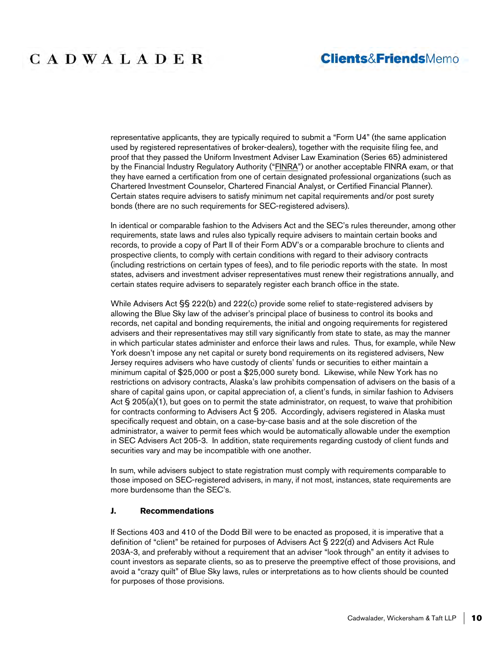### **Clients&FriendsMemo**

representative applicants, they are typically required to submit a "Form U4" (the same application used by registered representatives of broker-dealers), together with the requisite filing fee, and proof that they passed the Uniform Investment Adviser Law Examination (Series 65) administered by the Financial Industry Regulatory Authority ("FINRA") or another acceptable FINRA exam, or that they have earned a certification from one of certain designated professional organizations (such as Chartered Investment Counselor, Chartered Financial Analyst, or Certified Financial Planner). Certain states require advisers to satisfy minimum net capital requirements and/or post surety bonds (there are no such requirements for SEC-registered advisers).

In identical or comparable fashion to the Advisers Act and the SEC's rules thereunder, among other requirements, state laws and rules also typically require advisers to maintain certain books and records, to provide a copy of Part II of their Form ADV's or a comparable brochure to clients and prospective clients, to comply with certain conditions with regard to their advisory contracts (including restrictions on certain types of fees), and to file periodic reports with the state. In most states, advisers and investment adviser representatives must renew their registrations annually, and certain states require advisers to separately register each branch office in the state.

While Advisers Act §§ 222(b) and 222(c) provide some relief to state-registered advisers by allowing the Blue Sky law of the adviser's principal place of business to control its books and records, net capital and bonding requirements, the initial and ongoing requirements for registered advisers and their representatives may still vary significantly from state to state, as may the manner in which particular states administer and enforce their laws and rules. Thus, for example, while New York doesn't impose any net capital or surety bond requirements on its registered advisers, New Jersey requires advisers who have custody of clients' funds or securities to either maintain a minimum capital of \$25,000 or post a \$25,000 surety bond. Likewise, while New York has no restrictions on advisory contracts, Alaska's law prohibits compensation of advisers on the basis of a share of capital gains upon, or capital appreciation of, a client's funds, in similar fashion to Advisers Act  $\S 205(a)(1)$ , but goes on to permit the state administrator, on request, to waive that prohibition for contracts conforming to Advisers Act § 205. Accordingly, advisers registered in Alaska must specifically request and obtain, on a case-by-case basis and at the sole discretion of the administrator, a waiver to permit fees which would be automatically allowable under the exemption in SEC Advisers Act 205-3. In addition, state requirements regarding custody of client funds and securities vary and may be incompatible with one another.

In sum, while advisers subject to state registration must comply with requirements comparable to those imposed on SEC-registered advisers, in many, if not most, instances, state requirements are more burdensome than the SEC's.

#### **J. Recommendations**

If Sections 403 and 410 of the Dodd Bill were to be enacted as proposed, it is imperative that a definition of "client" be retained for purposes of Advisers Act § 222(d) and Advisers Act Rule 203A-3, and preferably without a requirement that an adviser "look through" an entity it advises to count investors as separate clients, so as to preserve the preemptive effect of those provisions, and avoid a "crazy quilt" of Blue Sky laws, rules or interpretations as to how clients should be counted for purposes of those provisions.